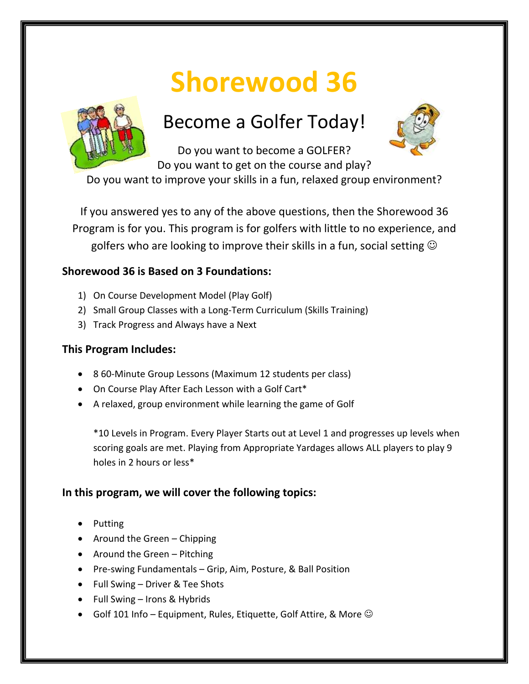# **Shorewood 36**



# Become a Golfer Today!



Do you want to become a GOLFER? Do you want to get on the course and play?

Do you want to improve your skills in a fun, relaxed group environment?

If you answered yes to any of the above questions, then the Shorewood 36 Program is for you. This program is for golfers with little to no experience, and golfers who are looking to improve their skills in a fun, social setting  $\odot$ 

## **Shorewood 36 is Based on 3 Foundations:**

- 1) On Course Development Model (Play Golf)
- 2) Small Group Classes with a Long-Term Curriculum (Skills Training)
- 3) Track Progress and Always have a Next

### **This Program Includes:**

- 8 60-Minute Group Lessons (Maximum 12 students per class)
- On Course Play After Each Lesson with a Golf Cart\*
- A relaxed, group environment while learning the game of Golf

\*10 Levels in Program. Every Player Starts out at Level 1 and progresses up levels when scoring goals are met. Playing from Appropriate Yardages allows ALL players to play 9 holes in 2 hours or less\*

### **In this program, we will cover the following topics:**

- Putting
- Around the Green Chipping
- Around the Green Pitching
- Pre-swing Fundamentals Grip, Aim, Posture, & Ball Position
- Full Swing Driver & Tee Shots
- Full Swing Irons & Hybrids
- Golf 101 Info Equipment, Rules, Etiquette, Golf Attire, & More  $\odot$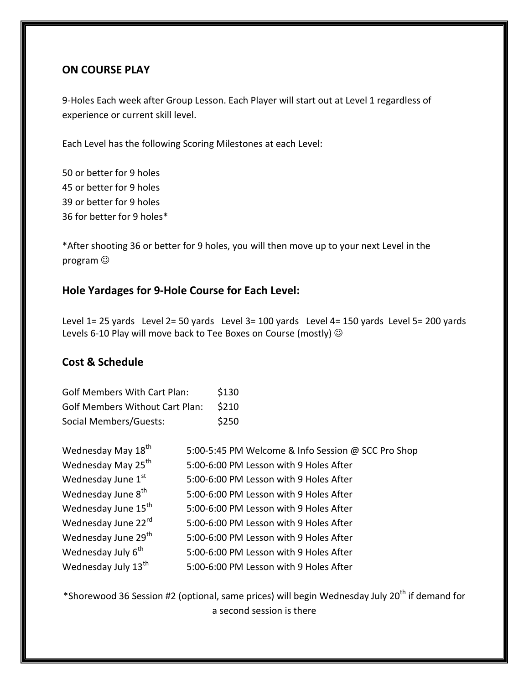#### **ON COURSE PLAY**

9-Holes Each week after Group Lesson. Each Player will start out at Level 1 regardless of experience or current skill level.

Each Level has the following Scoring Milestones at each Level:

50 or better for 9 holes 45 or better for 9 holes 39 or better for 9 holes 36 for better for 9 holes\*

\*After shooting 36 or better for 9 holes, you will then move up to your next Level in the program

#### **Hole Yardages for 9-Hole Course for Each Level:**

Level 1= 25 yards Level 2= 50 yards Level 3= 100 yards Level 4= 150 yards Level 5= 200 yards Levels 6-10 Play will move back to Tee Boxes on Course (mostly)  $\odot$ 

#### **Cost & Schedule**

| <b>Golf Members With Cart Plan:</b>    | \$130 |
|----------------------------------------|-------|
| <b>Golf Members Without Cart Plan:</b> | \$210 |
| Social Members/Guests:                 | \$250 |

| Wednesday May 18 <sup>th</sup>  | 5:00-5:45 PM Welcome & Info Session @ SCC Pro Shop |
|---------------------------------|----------------------------------------------------|
| Wednesday May 25 <sup>th</sup>  | 5:00-6:00 PM Lesson with 9 Holes After             |
| Wednesday June 1st              | 5:00-6:00 PM Lesson with 9 Holes After             |
| Wednesday June 8 <sup>th</sup>  | 5:00-6:00 PM Lesson with 9 Holes After             |
| Wednesday June 15 <sup>th</sup> | 5:00-6:00 PM Lesson with 9 Holes After             |
| Wednesday June 22rd             | 5:00-6:00 PM Lesson with 9 Holes After             |
| Wednesday June 29 <sup>th</sup> | 5:00-6:00 PM Lesson with 9 Holes After             |
| Wednesday July 6 <sup>th</sup>  | 5:00-6:00 PM Lesson with 9 Holes After             |
| Wednesday July 13 <sup>th</sup> | 5:00-6:00 PM Lesson with 9 Holes After             |

\*Shorewood 36 Session #2 (optional, same prices) will begin Wednesday July 20<sup>th</sup> if demand for a second session is there